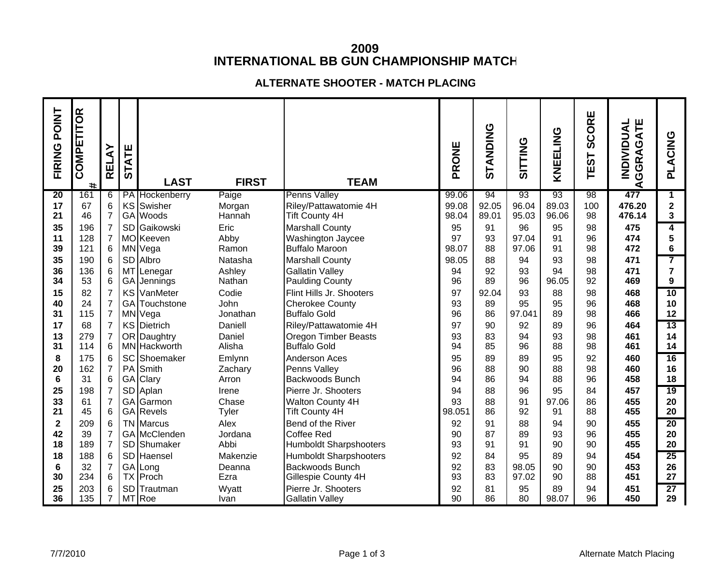# **2009INTERNATIONAL BB GUN CHAMPIONSHIP MATCH**

## **ALTERNATE SHOOTER - MATCH PLACING**

| <b>POINT</b><br>FIRING | COMPETITOR<br>$\#$ | RELAY                | ATE<br>55 | <b>LAST</b>                | <b>FIRST</b>     | <b>TEAM</b>                                        | PRONE    | STANDING | SITTING  | KNEELING    | SCORE<br><b>TEST</b> | ATE<br><b>INDIVIDUAL</b><br><b>GGRAG</b><br>∢ | ACING<br>ᇍ              |
|------------------------|--------------------|----------------------|-----------|----------------------------|------------------|----------------------------------------------------|----------|----------|----------|-------------|----------------------|-----------------------------------------------|-------------------------|
| 20                     | 161                | 6                    |           | PA Hockenberry             | Paige            | <b>Penns Valley</b>                                | 99.06    | 94       | 93       | 93          | 98                   | 477                                           | $\mathbf 1$             |
| 17                     | 67                 | 6                    |           | KS Swisher                 | Morgan           | Riley/Pattawatomie 4H                              | 99.08    | 92.05    | 96.04    | 89.03       | 100                  | 476.20                                        | $\overline{\mathbf{2}}$ |
| 21                     | 46                 | $\overline{7}$       |           | GA Woods                   | Hannah           | <b>Tift County 4H</b>                              | 98.04    | 89.01    | 95.03    | 96.06       | 98                   | 476.14                                        | 3                       |
| 35                     | 196                | $\overline{7}$       |           | SD Gaikowski               | Eric             | <b>Marshall County</b>                             | 95       | 91       | 96       | 95          | 98                   | 475                                           | 4                       |
| 11                     | 128                | $\overline{7}$       |           | MOKeeven                   | Abby             | Washington Jaycee                                  | 97       | 93       | 97.04    | 91          | 96                   | 474                                           | 5                       |
| 39                     | 121                | 6                    |           | MN Vega                    | Ramon            | <b>Buffalo Maroon</b>                              | 98.07    | 88       | 97.06    | 91          | 98                   | 472                                           | 6                       |
| 35                     | 190                | 6                    |           | SD Albro                   | Natasha          | <b>Marshall County</b>                             | 98.05    | 88       | 94       | 93          | 98                   | 471                                           | 7                       |
| 36<br>34               | 136<br>53          | $6\phantom{1}6$<br>6 |           | MT Lenegar                 | Ashley<br>Nathan | <b>Gallatin Valley</b>                             | 94<br>96 | 92<br>89 | 93<br>96 | 94<br>96.05 | 98<br>92             | 471<br>469                                    | $\overline{7}$<br>9     |
| 15                     | 82                 | $\overline{7}$       |           | GA Jennings<br>KS VanMeter | Codie            | <b>Paulding County</b><br>Flint Hills Jr. Shooters | 97       | 92.04    | 93       | 88          | 98                   |                                               | 10                      |
| 40                     | 24                 | $\overline{7}$       |           | GA Touchstone              | John             | <b>Cherokee County</b>                             | 93       | 89       | 95       | 95          | 96                   | 468<br>468                                    | 10                      |
| 31                     | 115                | $\overline{7}$       |           | MN Vega                    | Jonathan         | <b>Buffalo Gold</b>                                | 96       | 86       | 97.041   | 89          | 98                   | 466                                           | 12                      |
| 17                     | 68                 | $\overline{7}$       |           | KS Dietrich                | Daniell          | Riley/Pattawatomie 4H                              | 97       | 90       | 92       | 89          | 96                   | 464                                           | $\overline{13}$         |
| 13                     | 279                | $\overline{7}$       |           | OR Daughtry                | Daniel           | Oregon Timber Beasts                               | 93       | 83       | 94       | 93          | 98                   | 461                                           | 14                      |
| 31                     | 114                | $6\phantom{1}6$      |           | MN Hackworth               | Alisha           | <b>Buffalo Gold</b>                                | 94       | 85       | 96       | 88          | 98                   | 461                                           | 14                      |
| 8                      | 175                | 6                    |           | SC Shoemaker               | Emlynn           | <b>Anderson Aces</b>                               | 95       | 89       | 89       | 95          | 92                   | 460                                           | 16                      |
| 20                     | 162                | $\overline{7}$       |           | PA Smith                   | Zachary          | Penns Valley                                       | 96       | 88       | 90       | 88          | 98                   | 460                                           | 16                      |
| $6\phantom{1}6$        | 31                 | 6                    |           | GA Clary                   | Arron            | Backwoods Bunch                                    | 94       | 86       | 94       | 88          | 96                   | 458                                           | 18                      |
| 25                     | 198                | $\overline{7}$       |           | SD Aplan                   | Irene            | Pierre Jr. Shooters                                | 94       | 88       | 96       | 95          | 84                   | 457                                           | 19                      |
| 33                     | 61                 | $\overline{7}$       |           | GA Garmon                  | Chase            | Walton County 4H                                   | 93       | 88       | 91       | 97.06       | 86                   | 455                                           | 20                      |
| 21                     | 45                 | 6                    |           | GA Revels                  | Tyler            | <b>Tift County 4H</b>                              | 98.051   | 86       | 92       | 91          | 88                   | 455                                           | 20                      |
| $\mathbf 2$            | 209                | 6                    |           | <b>TN</b> Marcus           | Alex             | Bend of the River                                  | 92       | 91       | 88       | 94          | 90                   | 455                                           | 20                      |
| 42                     | 39                 | $\overline{7}$       |           | GA McClenden               | Jordana          | <b>Coffee Red</b>                                  | 90       | 87       | 89       | 93          | 96                   | 455                                           | 20                      |
| 18                     | 189                | $\overline{7}$       |           | SD Shumaker                | Abbi             | <b>Humboldt Sharpshooters</b>                      | 93       | 91       | 91       | 90          | 90                   | 455                                           | 20                      |
| 18                     | 188                | $6\phantom{1}6$      |           | SD Haensel                 | Makenzie         | <b>Humboldt Sharpshooters</b>                      | 92       | 84       | 95       | 89          | 94                   | 454                                           | 25                      |
| 6                      | 32                 | 7                    |           | GA Long                    | Deanna           | <b>Backwoods Bunch</b>                             | 92       | 83       | 98.05    | 90          | 90                   | 453                                           | 26                      |
| 30                     | 234                | 6                    |           | <b>TX</b> Proch            | Ezra             | Gillespie County 4H                                | 93       | 83       | 97.02    | 90          | 88                   | 451                                           | 27                      |
| 25                     | 203                | 6                    |           | SD Trautman                | Wyatt            | Pierre Jr. Shooters                                | 92       | 81       | 95       | 89          | 94                   | 451                                           | $\overline{27}$         |
| 36                     | 135                | $\overline{7}$       |           | MT Roe                     | Ivan             | <b>Gallatin Valley</b>                             | 90       | 86       | 80       | 98.07       | 96                   | 450                                           | 29                      |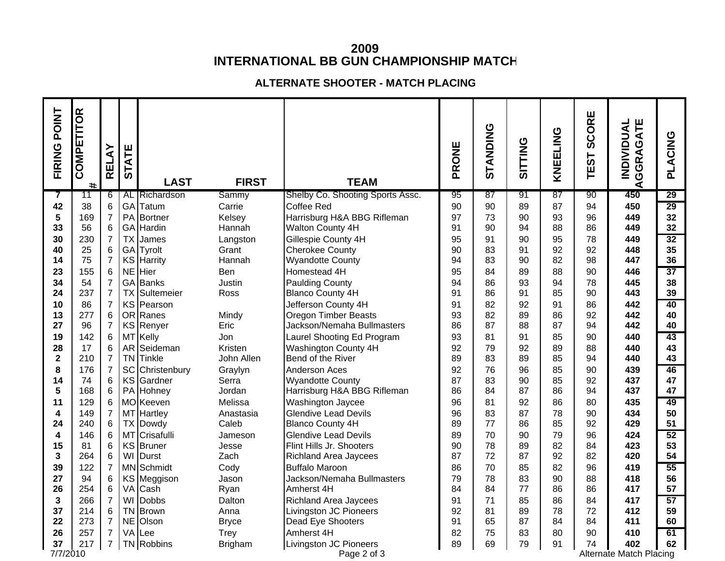## **2009 INTERNATIONAL BB GUN CHAMPIONSHIP MATCH**

#### **ALTERNATE SHOOTER - MATCH PLACING**

| FIRING POINT            | COMPETITOR<br># | RELAY               | ATE<br>55 | <b>LAST</b>                  | <b>FIRST</b>   | <b>TEAM</b>                                       | PRONE    | STANDING | <b>SITTING</b> | KNEELING | SCORE<br><b>TEST</b> | GGRAGATE<br><b>INDIVIDUAL</b><br>⋖ | PLACING  |
|-------------------------|-----------------|---------------------|-----------|------------------------------|----------------|---------------------------------------------------|----------|----------|----------------|----------|----------------------|------------------------------------|----------|
| 7                       | 11              | 6                   |           | AL Richardson                | Sammy          | Shelby Co. Shooting Sports Assc.                  | 95       | 87       | 91             | 87       | 90                   | 450                                | 29       |
| 42                      | 38              | 6                   |           | GA Tatum                     | Carrie         | Coffee Red                                        | 90       | 90       | 89             | 87       | 94                   | 450                                | 29       |
| 5                       | 169             | $\overline{7}$      |           | PA Bortner                   | Kelsey         | Harrisburg H&A BBG Rifleman                       | 97       | 73       | 90             | 93       | 96                   | 449                                | 32       |
| 33                      | 56              | 6                   |           | GA Hardin                    | Hannah         | Walton County 4H                                  | 91       | 90       | 94             | 88       | 86                   | 449                                | 32       |
| 30                      | 230             | $\overline{7}$      |           | <b>TX</b> James              | Langston       | Gillespie County 4H                               | 95       | 91       | 90             | 95       | 78                   | 449                                | 32       |
| 40                      | 25              | 6                   |           | GA Tyrolt                    | Grant          | <b>Cherokee County</b>                            | 90       | 83<br>83 | 91             | 92<br>82 | 92                   | 448                                | 35<br>36 |
| 14                      | 75<br>155       | $\overline{7}$      |           | <b>KS Harrity</b><br>NE Hier | Hannah<br>Ben  | <b>Wyandotte County</b>                           | 94<br>95 | 84       | 90             | 88       | 98<br>90             | 447<br>446                         | 37       |
| 23<br>34                | 54              | 6<br>$\overline{7}$ |           | <b>GA</b> Banks              | Justin         | Homestead 4H                                      | 94       | 86       | 89<br>93       | 94       | 78                   | 445                                | 38       |
| 24                      | 237             | $\overline{7}$      |           | <b>TX</b> Sultemeier         | Ross           | <b>Paulding County</b><br><b>Blanco County 4H</b> | 91       | 86       | 91             | 85       | 90                   | 443                                | 39       |
| 10                      | 86              | $\overline{7}$      |           | KS Pearson                   |                | Jefferson County 4H                               | 91       | 82       | 92             | 91       | 86                   | 442                                | 40       |
| 13                      | 277             | 6                   |           | OR Ranes                     | Mindy          | <b>Oregon Timber Beasts</b>                       | 93       | 82       | 89             | 86       | 92                   | 442                                | 40       |
| 27                      | 96              | $\overline{7}$      |           | KS Renyer                    | Eric           | Jackson/Nemaha Bullmasters                        | 86       | 87       | 88             | 87       | 94                   | 442                                | 40       |
| 19                      | 142             | $6\phantom{1}6$     |           | MT Kelly                     | Jon            | Laurel Shooting Ed Program                        | 93       | 81       | 91             | 85       | 90                   | 440                                | 43       |
| 28                      | 17              | 6                   |           | AR Seideman                  | Kristen        | Washington County 4H                              | 92       | 79       | 92             | 89       | 88                   | 440                                | 43       |
| $\overline{\mathbf{2}}$ | 210             | $\overline{7}$      |           | TN Tinkle                    | John Allen     | Bend of the River                                 | 89       | 83       | 89             | 85       | 94                   | 440                                | 43       |
| 8                       | 176             | $\overline{7}$      |           | SC Christenbury              | Graylyn        | Anderson Aces                                     | 92       | 76       | 96             | 85       | 90                   | 439                                | 46       |
| 14                      | 74              | $6\phantom{1}6$     |           | KS Gardner                   | Serra          | <b>Wyandotte County</b>                           | 87       | 83       | 90             | 85       | 92                   | 437                                | 47       |
| 5                       | 168             | 6                   |           | PA Hohney                    | Jordan         | Harrisburg H&A BBG Rifleman                       | 86       | 84       | 87             | 86       | 94                   | 437                                | 47       |
| 11                      | 129             | 6                   |           | MOKeeven                     | Melissa        | Washington Jaycee                                 | 96       | 81       | 92             | 86       | 80                   | 435                                | 49       |
| 4                       | 149             | $\overline{7}$      |           | MT Hartley                   | Anastasia      | <b>Glendive Lead Devils</b>                       | 96       | 83       | 87             | 78       | 90                   | 434                                | 50       |
| 24                      | 240             | $\,6\,$             |           | <b>TX Dowdy</b>              | Caleb          | <b>Blanco County 4H</b>                           | 89       | 77       | 86             | 85       | 92                   | 429                                | 51       |
| 4                       | 146             | $6\phantom{1}6$     |           | MT Crisafulli                | Jameson        | <b>Glendive Lead Devils</b>                       | 89       | 70       | 90             | 79       | 96                   | 424                                | 52       |
| 15                      | 81              | 6                   |           | KS Bruner                    | Jesse          | Flint Hills Jr. Shooters                          | 90       | 78       | 89             | 82       | 84                   | 423                                | 53       |
| 3                       | 264             | 6                   | WI        | Durst                        | Zach           | <b>Richland Area Jaycees</b>                      | 87       | 72       | 87             | 92       | 82                   | 420                                | 54       |
| 39                      | 122             | $\overline{7}$      |           | MN Schmidt                   | Cody           | <b>Buffalo Maroon</b>                             | 86<br>79 | 70       | 85             | 82       | 96                   | 419                                | 55       |
| 27<br>26                | 94<br>254       | 6<br>6              |           | KS Meggison<br>VA Cash       | Jason<br>Ryan  | Jackson/Nemaha Bullmasters<br>Amherst 4H          | 84       | 78<br>84 | 83<br>77       | 90<br>86 | 88<br>86             | 418<br>417                         | 56<br>57 |
| 3                       | 266             | $\overline{7}$      | WI        | Dobbs                        | Dalton         | <b>Richland Area Jaycees</b>                      | 91       | 71       | 85             | 86       | 84                   | 417                                | 57       |
| 37                      | 214             | $\,6$               |           | TN Brown                     | Anna           | <b>Livingston JC Pioneers</b>                     | 92       | 81       | 89             | 78       | 72                   | 412                                | 59       |
| 22                      | 273             | $\overline{7}$      |           | NE Olson                     | <b>Bryce</b>   | Dead Eye Shooters                                 | 91       | 65       | 87             | 84       | 84                   | 411                                | 60       |
| 26                      | 257             | $\overline{7}$      |           | VA Lee                       | Trey           | Amherst 4H                                        | 82       | 75       | 83             | 80       | 90                   | 410                                | 61       |
| 37                      | 217             | $\overline{7}$      |           | TN Robbins                   | <b>Brigham</b> | Livingston JC Pioneers                            | 89       | 69       | 79             | 91       | 74                   | 402                                | 62       |
| 7/7/2010                |                 |                     |           |                              |                | Page 2 of 3                                       |          |          |                |          |                      | <b>Alternate Match Placing</b>     |          |